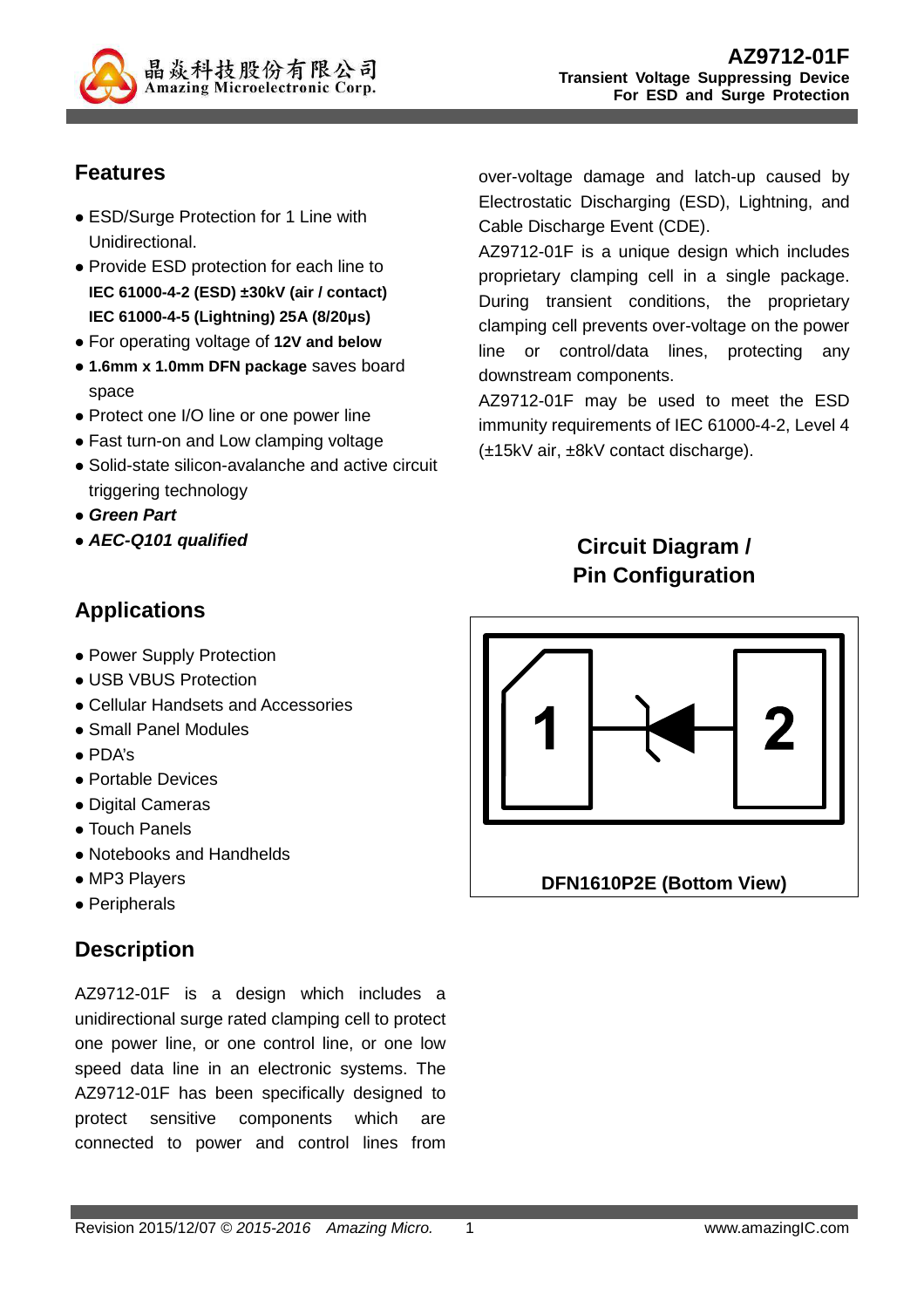

## **Features**

- ESD/Surge Protection for 1 Line with Unidirectional.
- Provide ESD protection for each line to **IEC 61000-4-2 (ESD) ±30kV (air / contact) IEC 61000-4-5 (Lightning) 25A (8/20µs)**
- For operating voltage of **12V and below**
- **1.6mm x 1.0mm DFN package** saves board space
- Protect one I/O line or one power line
- Fast turn-on and Low clamping voltage
- Solid-state silicon-avalanche and active circuit triggering technology
- **Green Part**
- **AEC-Q101 qualified**

## **Applications**

- Power Supply Protection
- USB VBUS Protection
- Cellular Handsets and Accessories
- Small Panel Modules
- PDA's
- Portable Devices
- Digital Cameras
- Touch Panels
- Notebooks and Handhelds
- MP3 Players
- Peripherals

## **Description**

AZ9712-01F is a design which includes a unidirectional surge rated clamping cell to protect one power line, or one control line, or one low speed data line in an electronic systems. The AZ9712-01F has been specifically designed to protect sensitive components which are connected to power and control lines from

over-voltage damage and latch-up caused by Electrostatic Discharging (ESD), Lightning, and Cable Discharge Event (CDE).

AZ9712-01F is a unique design which includes proprietary clamping cell in a single package. During transient conditions, the proprietary clamping cell prevents over-voltage on the power line or control/data lines, protecting any downstream components.

AZ9712-01F may be used to meet the ESD immunity requirements of IEC 61000-4-2, Level 4 (±15kV air, ±8kV contact discharge).

## **Circuit Diagram / Pin Configuration**

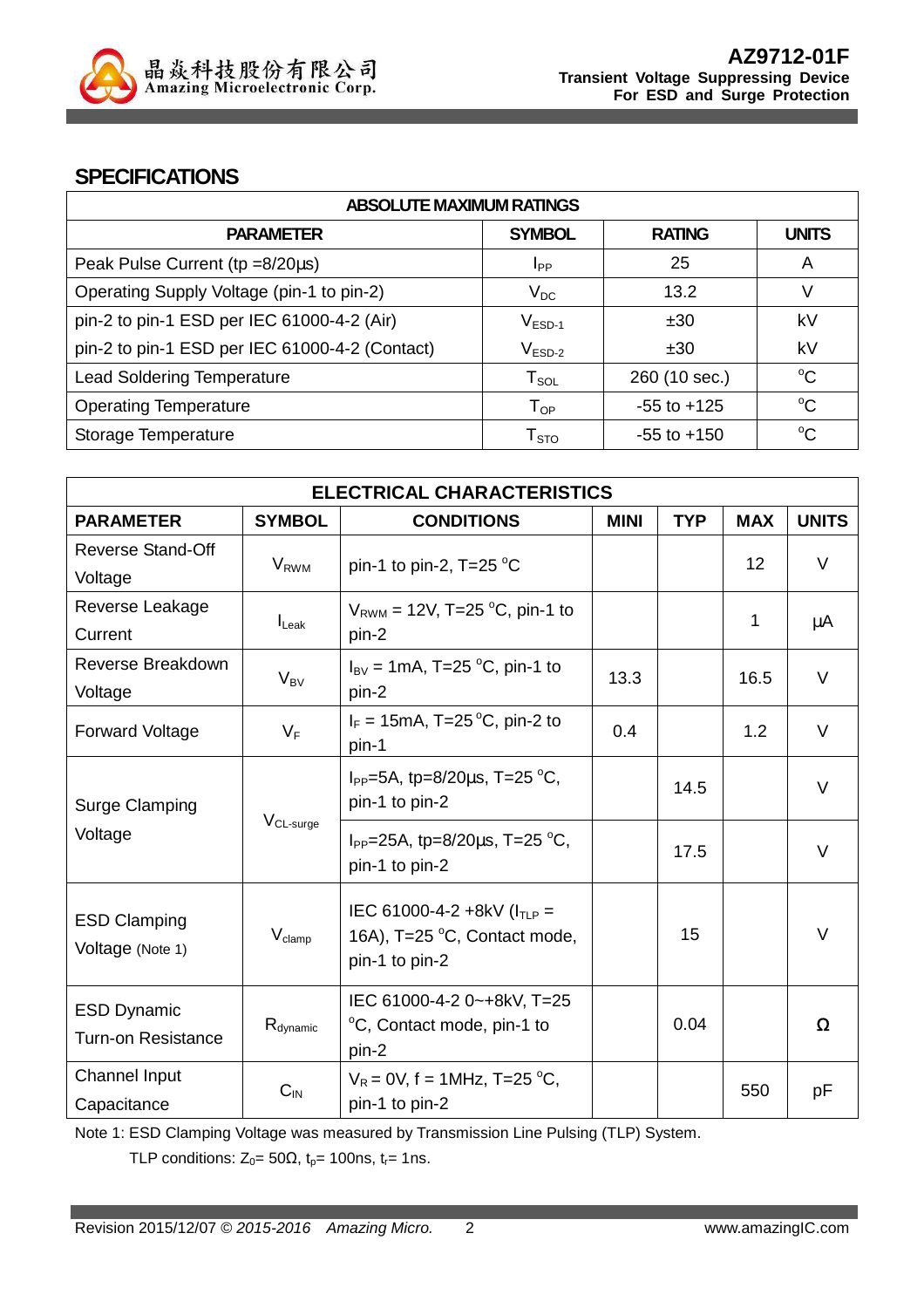

#### **SPECIFICATIONS**

| <b>ABSOLUTE MAXIMUM RATINGS</b>                |                            |                 |              |  |
|------------------------------------------------|----------------------------|-----------------|--------------|--|
| <b>PARAMETER</b>                               | <b>SYMBOL</b>              | <b>RATING</b>   | <b>UNITS</b> |  |
| Peak Pulse Current ( $tp = 8/20\mu s$ )        | <b>I</b> pp                | 25              | A            |  |
| Operating Supply Voltage (pin-1 to pin-2)      | $V_{DC}$                   | 13.2            | V            |  |
| pin-2 to pin-1 ESD per IEC 61000-4-2 (Air)     | $V_{ESD-1}$                | ±30             | kV           |  |
| pin-2 to pin-1 ESD per IEC 61000-4-2 (Contact) | $V_{ESD-2}$                | ±30             | kV           |  |
| <b>Lead Soldering Temperature</b>              | ${\sf T}_{\sf SOL}$        | 260 (10 sec.)   | $\rm ^{o}C$  |  |
| <b>Operating Temperature</b>                   | $\mathsf{T}_{\mathsf{OP}}$ | $-55$ to $+125$ | $\rm ^{o}C$  |  |
| Storage Temperature                            | ${\sf T}_{\text{STO}}$     | $-55$ to $+150$ | $\rm ^{o}C$  |  |

| <b>ELECTRICAL CHARACTERISTICS</b> |                                                                                                                  |                                                                                                                                                                                                                         |             |                            |                        |
|-----------------------------------|------------------------------------------------------------------------------------------------------------------|-------------------------------------------------------------------------------------------------------------------------------------------------------------------------------------------------------------------------|-------------|----------------------------|------------------------|
| <b>SYMBOL</b>                     | <b>CONDITIONS</b>                                                                                                | <b>MINI</b>                                                                                                                                                                                                             | <b>TYP</b>  | <b>MAX</b>                 | <b>UNITS</b>           |
|                                   |                                                                                                                  |                                                                                                                                                                                                                         |             |                            | V                      |
|                                   |                                                                                                                  |                                                                                                                                                                                                                         |             |                            |                        |
|                                   | $V_{\text{RWM}}$ = 12V, T=25 °C, pin-1 to                                                                        |                                                                                                                                                                                                                         |             |                            |                        |
|                                   | pin-2                                                                                                            |                                                                                                                                                                                                                         |             |                            | $\mu$ A                |
|                                   | $I_{\text{BV}}$ = 1mA, T=25 °C, pin-1 to                                                                         |                                                                                                                                                                                                                         |             |                            | V                      |
|                                   | pin-2                                                                                                            |                                                                                                                                                                                                                         |             |                            |                        |
|                                   | $I_F = 15 \text{mA}$ , T=25 °C, pin-2 to                                                                         |                                                                                                                                                                                                                         |             |                            | V                      |
|                                   | pin-1                                                                                                            |                                                                                                                                                                                                                         |             |                            |                        |
|                                   | I <sub>PP</sub> =5A, tp=8/20µs, T=25 °C,                                                                         |                                                                                                                                                                                                                         |             |                            | V                      |
|                                   | pin-1 to pin-2                                                                                                   |                                                                                                                                                                                                                         |             |                            |                        |
|                                   | $I_{PP}$ =25A, tp=8/20 $\mu$ s, T=25 °C,                                                                         |                                                                                                                                                                                                                         |             |                            |                        |
|                                   | pin-1 to pin-2                                                                                                   |                                                                                                                                                                                                                         |             |                            | V                      |
|                                   |                                                                                                                  |                                                                                                                                                                                                                         |             |                            |                        |
| $V_{\text{clamp}}$                |                                                                                                                  |                                                                                                                                                                                                                         |             |                            | V                      |
|                                   |                                                                                                                  |                                                                                                                                                                                                                         |             |                            |                        |
|                                   |                                                                                                                  |                                                                                                                                                                                                                         |             |                            |                        |
|                                   |                                                                                                                  |                                                                                                                                                                                                                         |             |                            |                        |
|                                   |                                                                                                                  |                                                                                                                                                                                                                         |             |                            | Ω                      |
|                                   |                                                                                                                  |                                                                                                                                                                                                                         |             |                            |                        |
|                                   | pin-1 to pin-2                                                                                                   |                                                                                                                                                                                                                         |             | 550                        | рF                     |
|                                   | $V_{RWM}$<br>$I_{\text{Leak}}$<br>$V_{BV}$<br>$V_F$<br>V <sub>CL-surge</sub><br>$R_{\text{dynamic}}$<br>$C_{IN}$ | pin-1 to pin-2, $T=25$ °C<br>IEC 61000-4-2 +8kV ( $I_{TLP}$ =<br>16A), T=25 °C, Contact mode,<br>pin-1 to pin-2<br>IEC 61000-4-2 0~+8kV, T=25<br>°C, Contact mode, pin-1 to<br>pin-2<br>$V_R = 0V$ , f = 1MHz, T=25 °C, | 13.3<br>0.4 | 14.5<br>17.5<br>15<br>0.04 | 12<br>1<br>16.5<br>1.2 |

Note 1: ESD Clamping Voltage was measured by Transmission Line Pulsing (TLP) System.

TLP conditions:  $Z_0 = 50\Omega$ ,  $t_p = 100$ ns,  $t_r = 1$ ns.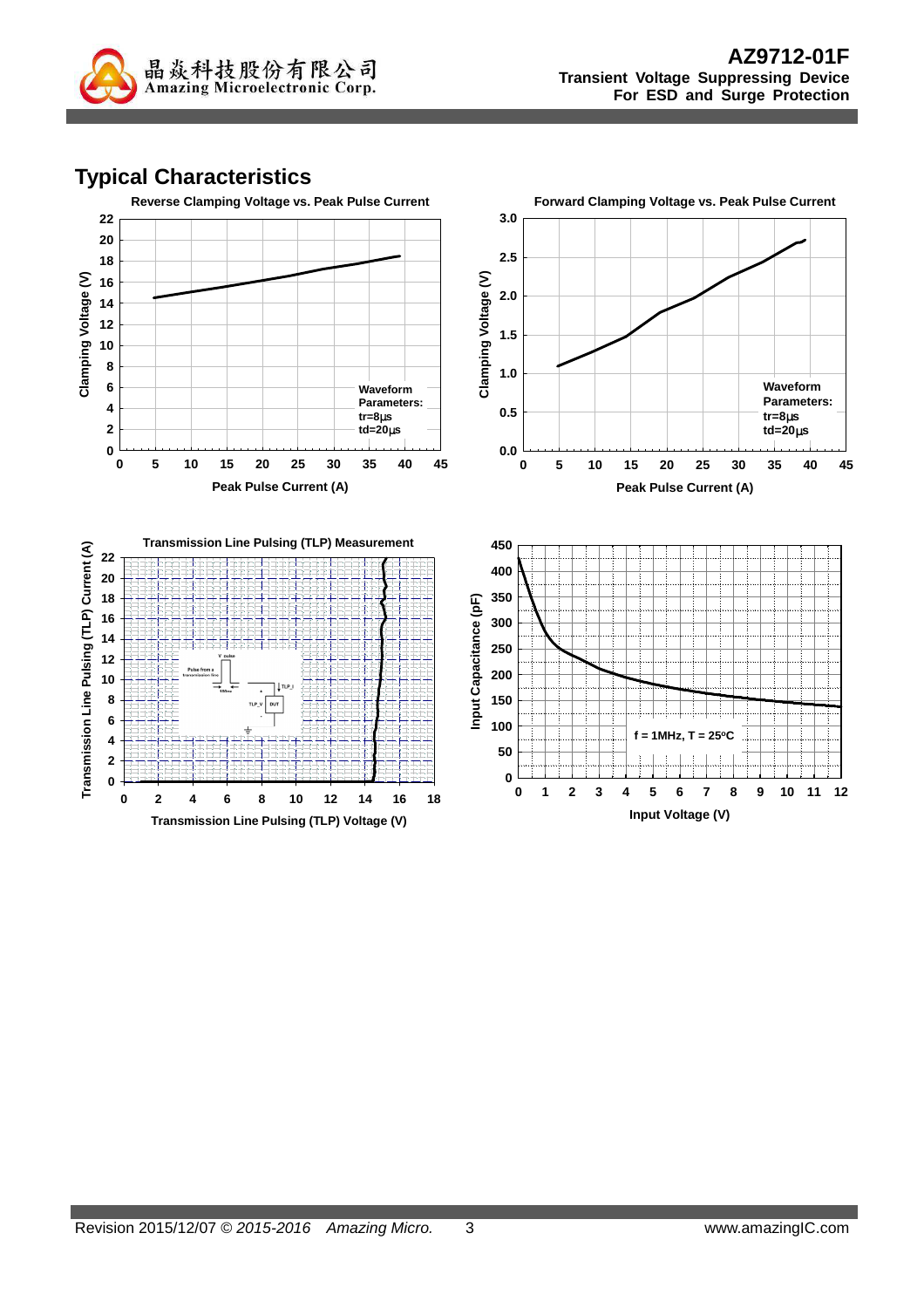

# **Typical Characteristics**

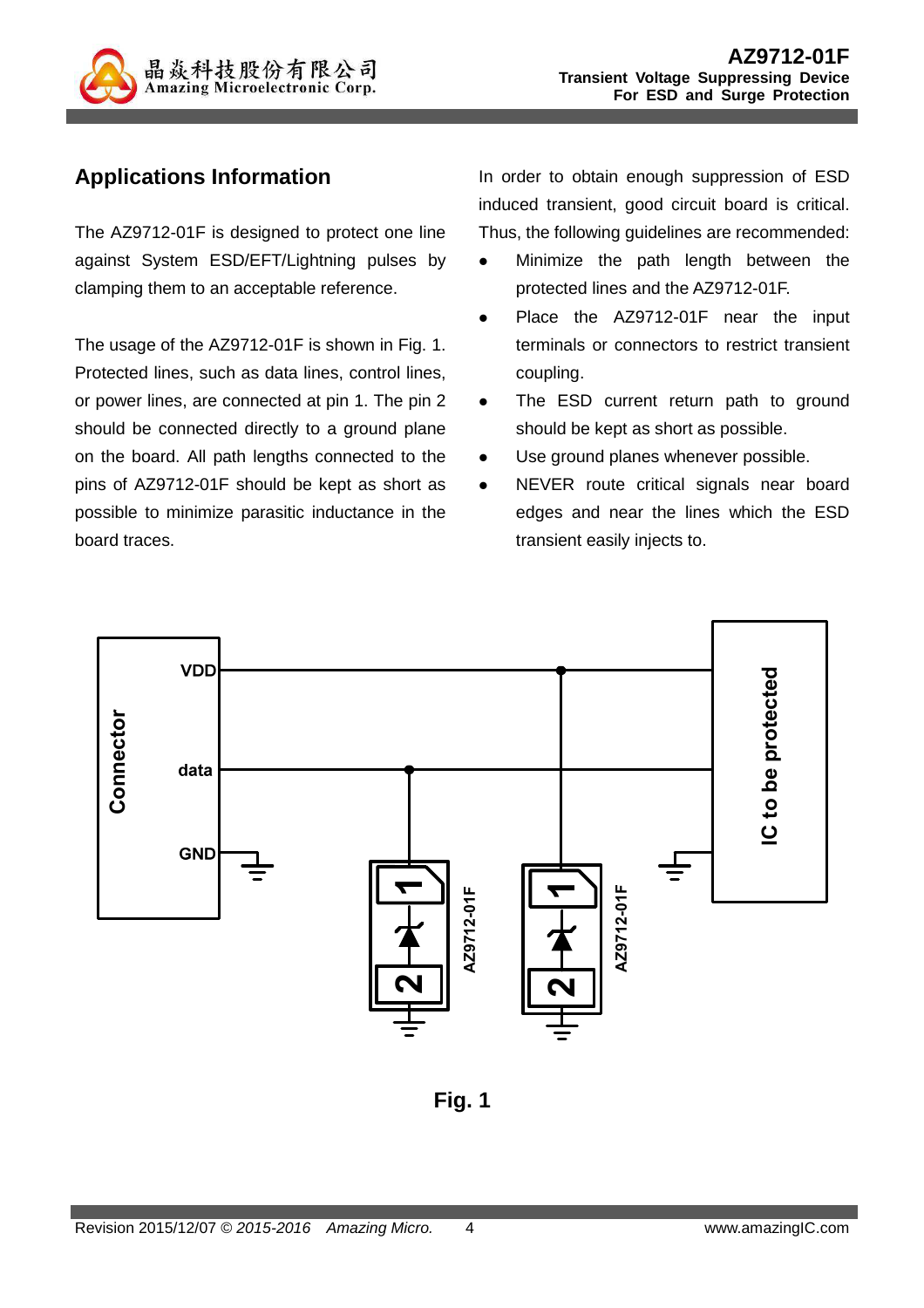

## **Applications Information**

The AZ9712-01F is designed to protect one line against System ESD/EFT/Lightning pulses by clamping them to an acceptable reference.

The usage of the AZ9712-01F is shown in Fig. 1. Protected lines, such as data lines, control lines, or power lines, are connected at pin 1. The pin 2 should be connected directly to a ground plane on the board. All path lengths connected to the pins of AZ9712-01F should be kept as short as possible to minimize parasitic inductance in the board traces.

In order to obtain enough suppression of ESD induced transient, good circuit board is critical. Thus, the following guidelines are recommended:

- Minimize the path length between the protected lines and the AZ9712-01F.
- Place the AZ9712-01F near the input terminals or connectors to restrict transient coupling.
- The ESD current return path to ground should be kept as short as possible.
- Use ground planes whenever possible.
- NEVER route critical signals near board edges and near the lines which the ESD transient easily injects to.



**Fig. 1**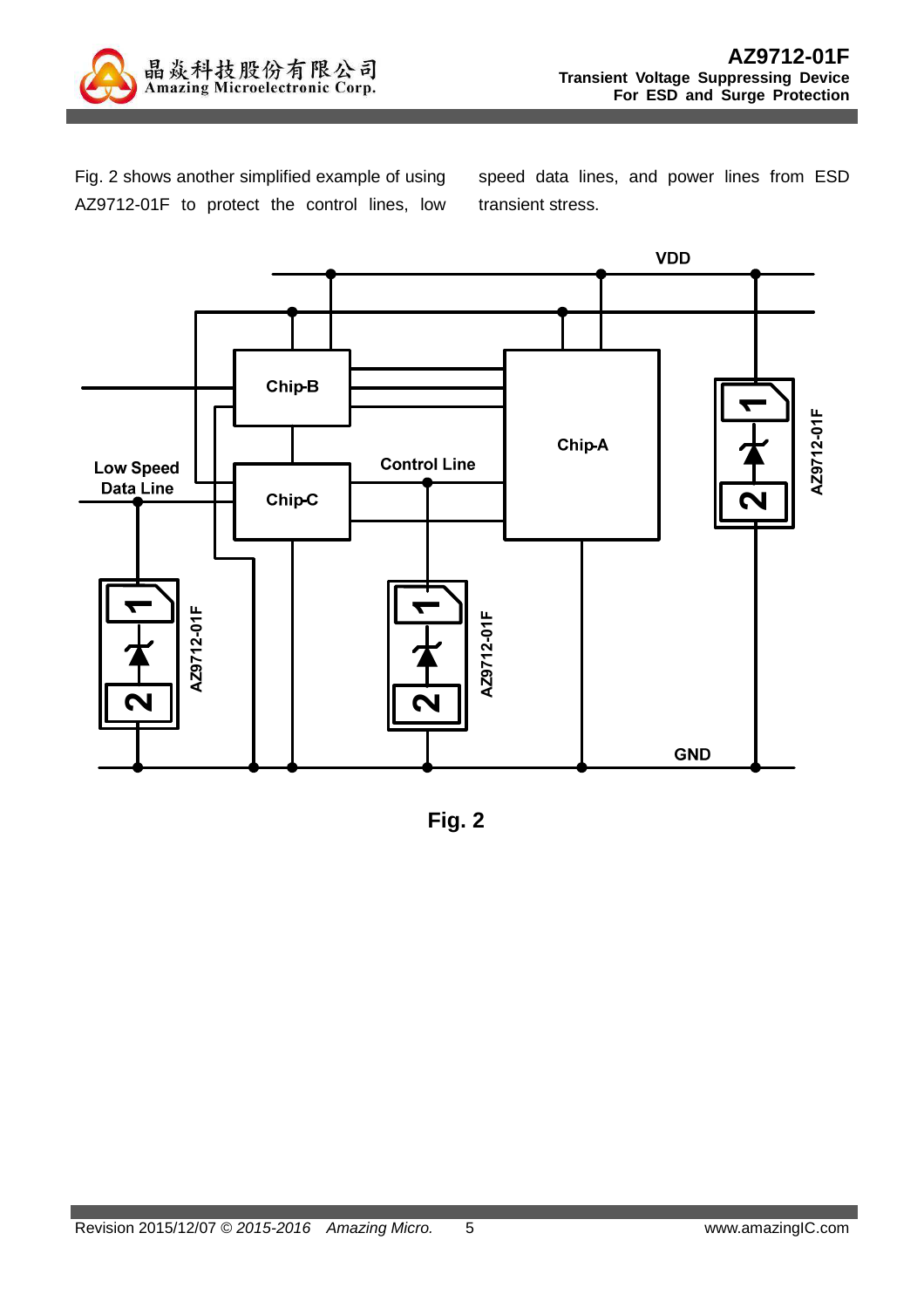

Fig. 2 shows another simplified example of using AZ9712-01F to protect the control lines, low speed data lines, and power lines from ESD transient stress.



**Fig. 2**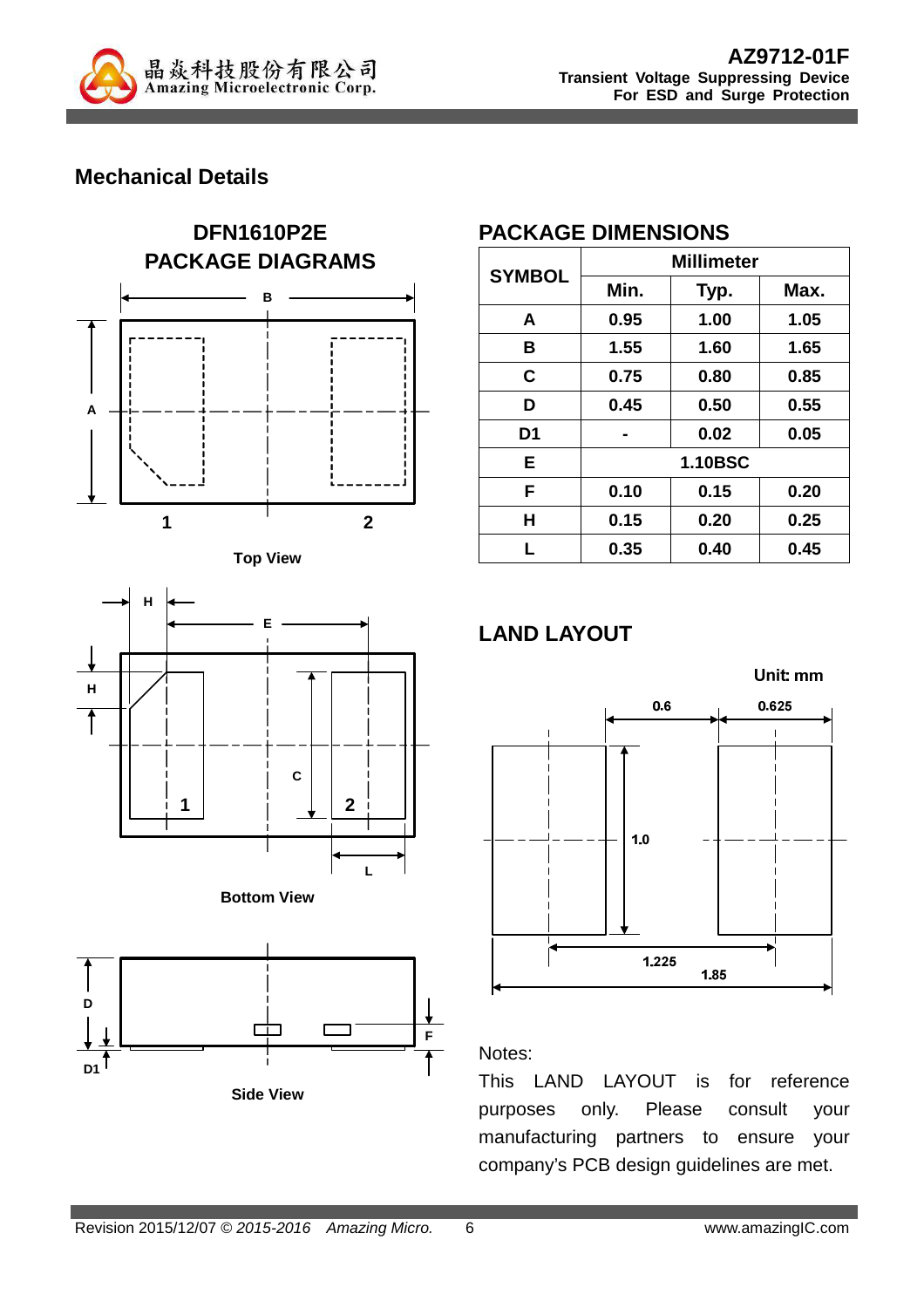

## **Mechanical Details**











**Side View**

## **PACKAGE DIMENSIONS**

| <b>SYMBOL</b>  | <b>Millimeter</b> |      |      |  |
|----------------|-------------------|------|------|--|
|                | Min.              | Typ. | Max. |  |
| A              | 0.95              | 1.00 | 1.05 |  |
| в              | 1.55              | 1.60 | 1.65 |  |
| C              | 0.75              | 0.80 | 0.85 |  |
| D              | 0.45              | 0.50 | 0.55 |  |
| D <sub>1</sub> |                   | 0.02 | 0.05 |  |
| E              | <b>1.10BSC</b>    |      |      |  |
| F              | 0.10              | 0.15 | 0.20 |  |
| Н              | 0.15              | 0.20 | 0.25 |  |
| L              | 0.35              | 0.40 | 0.45 |  |

## **LAND LAYOUT**



#### Notes:

This LAND LAYOUT is for reference purposes only. Please consult your manufacturing partners to ensure your company's PCB design guidelines are met.